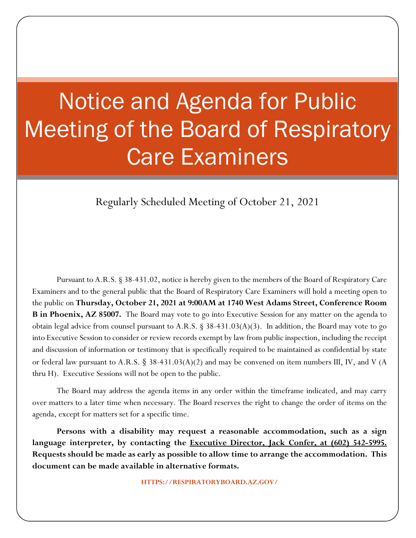# Notice and Agenda for Public Meeting of the Board of Respiratory Care Examiners

Regularly Scheduled Meeting of October 21, 2021

Pursuant to A.R.S. § 38-431.02, notice is hereby given to the members of the Board of Respiratory Care Examiners and to the general public that the Board of Respiratory Care Examiners will hold a meeting open to the public on **Thursday, October 21, 2021 at 9:00AM at 1740 West Adams Street, Conference Room B in Phoenix, AZ 85007.** The Board may vote to go into Executive Session for any matter on the agenda to obtain legal advice from counsel pursuant to A.R.S. § 38-431.03(A)(3). In addition, the Board may vote to go into Executive Session to consider or review records exempt by law from public inspection, including the receipt and discussion of information or testimony that is specifically required to be maintained as confidential by state or federal law pursuant to A.R.S. § 38-431.03(A)(2) and may be convened on item numbers III, IV, and V (A thru H). Executive Sessions will not be open to the public.

The Board may address the agenda items in any order within the timeframe indicated, and may carry over matters to a later time when necessary. The Board reserves the right to change the order of items on the agenda, except for matters set for a specific time.

**Persons with a disability may request a reasonable accommodation, such as a sign language interpreter, by contacting the Executive Director, Jack Confer, at (602) 542-5995. Requests should be made as early as possible to allow time to arrange the accommodation. This document can be made available in alternative formats.**

**HTTPS://RESPIRATORYBOARD.AZ.GOV/**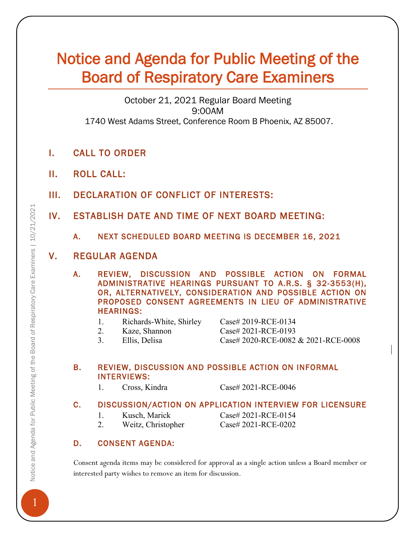# Notice and Agenda for Public Meeting of the Board of Respiratory Care Examiners

October 21, 2021 Regular Board Meeting 9:00AM 1740 West Adams Street, Conference Room B Phoenix, AZ 85007.

- I. CALL TO ORDER
- II. ROLL CALL:
- III. DECLARATION OF CONFLICT OF INTERESTS:
- IV. ESTABLISH DATE AND TIME OF NEXT BOARD MEETING:
	- A. NEXT SCHEDULED BOARD MEETING IS DECEMBER 16, 2021

## V. REGULAR AGENDA

A. REVIEW, DISCUSSION AND POSSIBLE ACTION ON FORMAL ADMINISTRATIVE HEARINGS PURSUANT TO A.R.S. § 32-3553(H), OR, ALTERNATIVELY, CONSIDERATION AND POSSIBLE ACTION ON PROPOSED CONSENT AGREEMENTS IN LIEU OF ADMINISTRATIVE HEARINGS:

- 1. Richards-White, Shirley Case# 2019-RCE-0134
- 
- 

2. Kaze, Shannon Case# 2021-RCE-0193 3. Ellis, Delisa Case# 2020-RCE-0082 & 2021-RCE-0008

#### B. REVIEW, DISCUSSION AND POSSIBLE ACTION ON INFORMAL INTERVIEWS:

1. Cross, Kindra Case# 2021-RCE-0046

#### C. DISCUSSION/ACTION ON APPLICATION INTERVIEW FOR LICENSURE

1. Kusch, Marick Case# 2021-RCE-0154

2. Weitz, Christopher Case# 2021-RCE-0202

# D. CONSENT AGENDA:

Consent agenda items may be considered for approval as a single action unless a Board member or interested party wishes to remove an item for discussion.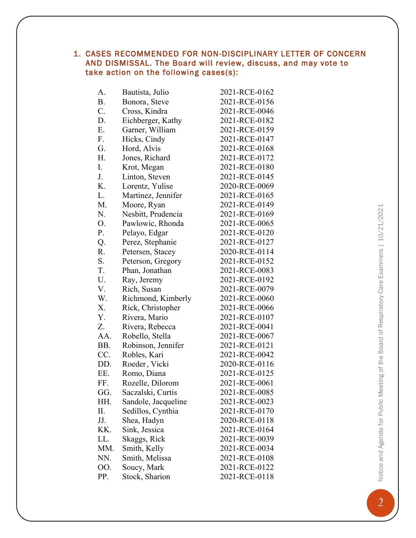#### 1. CASES RECOMMENDED FOR NON-DISCIPLINARY LETTER OF CONCERN AND DISMISSAL. The Board will review, discuss, and may vote to take action on the following cases(s):

| A.        | Bautista, Julio     | 2021-RCE-0162 |
|-----------|---------------------|---------------|
| <b>B.</b> | Bonora, Steve       | 2021-RCE-0156 |
| C.        | Cross, Kindra       | 2021-RCE-0046 |
| D.        | Eichberger, Kathy   | 2021-RCE-0182 |
| Ε.        | Garner, William     | 2021-RCE-0159 |
| F.        | Hicks, Cindy        | 2021-RCE-0147 |
| G.        | Hord, Alvis         | 2021-RCE-0168 |
| Η.        | Jones, Richard      | 2021-RCE-0172 |
| I.        | Krot, Megan         | 2021-RCE-0180 |
| J.        | Linton, Steven      | 2021-RCE-0145 |
| Κ.        | Lorentz, Yulise     | 2020-RCE-0069 |
| L.        | Martinez, Jennifer  | 2021-RCE-0165 |
| M.        | Moore, Ryan         | 2021-RCE-0149 |
| N.        | Nesbitt, Prudencia  | 2021-RCE-0169 |
| O.        | Pawlowic, Rhonda    | 2021-RCE-0065 |
| P.        | Pelayo, Edgar       | 2021-RCE-0120 |
| Q.        | Perez, Stephanie    | 2021-RCE-0127 |
| R.        | Petersen, Stacey    | 2020-RCE-0114 |
| S.        | Peterson, Gregory   | 2021-RCE-0152 |
| T.        | Phan, Jonathan      | 2021-RCE-0083 |
| U.        | Ray, Jeremy         | 2021-RCE-0192 |
| V.        | Rich, Susan         | 2021-RCE-0079 |
| W.        | Richmond, Kimberly  | 2021-RCE-0060 |
| Χ.        | Rick, Christopher   | 2021-RCE-0066 |
| Y.        | Rivera, Mario       | 2021-RCE-0107 |
| Z.        | Rivera, Rebecca     | 2021-RCE-0041 |
| AA.       | Robello, Stella     | 2021-RCE-0067 |
| BB.       | Robinson, Jennifer  | 2021-RCE-0121 |
| CC.       | Robles, Kari        | 2021-RCE-0042 |
| DD.       | Roeder, Vicki       | 2020-RCE-0116 |
| EE.       | Romo, Diana         | 2021-RCE-0125 |
| FF.       | Rozelle, Dilorom    | 2021-RCE-0061 |
| GG.       | Saczalski, Curtis   | 2021-RCE-0085 |
| HH.       | Sandole, Jacqueline | 2021-RCE-0023 |
| Π.        | Sedillos, Cynthia   | 2021-RCE-0170 |
| JJ.       | Shea, Hadyn         | 2020-RCE-0118 |
| KK.       | Sink, Jessica       | 2021-RCE-0164 |
| LL.       | Skaggs, Rick        | 2021-RCE-0039 |
| MM.       | Smith, Kelly        | 2021-RCE-0034 |
| NN.       | Smith, Melissa      | 2021-RCE-0108 |
| 00.       | Soucy, Mark         | 2021-RCE-0122 |
| PP.       | Stock, Sharion      | 2021-RCE-0118 |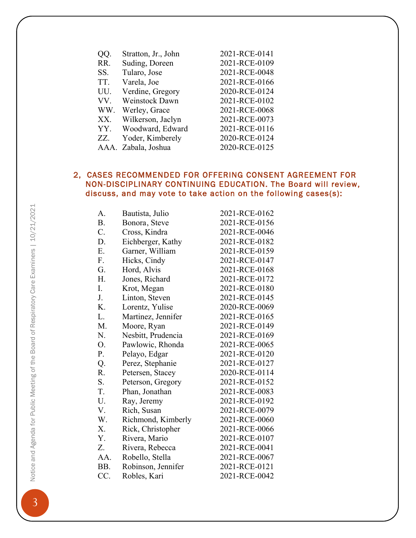| QQ. | Stratton, Jr., John   | 2021-RCE-0141 |
|-----|-----------------------|---------------|
| RR. | Suding, Doreen        | 2021-RCE-0109 |
| SS. | Tularo, Jose          | 2021-RCE-0048 |
| TT. | Varela, Joe           | 2021-RCE-0166 |
| UU. | Verdine, Gregory      | 2020-RCE-0124 |
| VV. | <b>Weinstock Dawn</b> | 2021-RCE-0102 |
| WW. | Werley, Grace         | 2021-RCE-0068 |
| XX. | Wilkerson, Jaclyn     | 2021-RCE-0073 |
| YY. | Woodward, Edward      | 2021-RCE-0116 |
| ZZ. | Yoder, Kimberely      | 2020-RCE-0124 |
|     | AAA. Zabala, Joshua   | 2020-RCE-0125 |

#### 2, CASES RECOMMENDED FOR OFFERING CONSENT AGREEMENT FOR NON-DISCIPLINARY CONTINUING EDUCATION. The Board will review, discuss, and may vote to take action on the following cases(s):

| A.  | Bautista, Julio    | 2021-RCE-0162 |
|-----|--------------------|---------------|
| Β.  | Bonora, Steve      | 2021-RCE-0156 |
| C.  | Cross, Kindra      | 2021-RCE-0046 |
| D.  | Eichberger, Kathy  | 2021-RCE-0182 |
| E.  | Garner, William    | 2021-RCE-0159 |
| F.  | Hicks, Cindy       | 2021-RCE-0147 |
| G.  | Hord, Alvis        | 2021-RCE-0168 |
| Н.  | Jones, Richard     | 2021-RCE-0172 |
| I.  | Krot, Megan        | 2021-RCE-0180 |
| J.  | Linton, Steven     | 2021-RCE-0145 |
| K.  | Lorentz, Yulise    | 2020-RCE-0069 |
| L.  | Martinez, Jennifer | 2021-RCE-0165 |
| M.  | Moore, Ryan        | 2021-RCE-0149 |
| N.  | Nesbitt, Prudencia | 2021-RCE-0169 |
| О.  | Pawlowic, Rhonda   | 2021-RCE-0065 |
| P.  | Pelayo, Edgar      | 2021-RCE-0120 |
| Q.  | Perez, Stephanie   | 2021-RCE-0127 |
| R.  | Petersen, Stacey   | 2020-RCE-0114 |
| S.  | Peterson, Gregory  | 2021-RCE-0152 |
| T.  | Phan, Jonathan     | 2021-RCE-0083 |
| U.  | Ray, Jeremy        | 2021-RCE-0192 |
| V.  | Rich, Susan        | 2021-RCE-0079 |
| W.  | Richmond, Kimberly | 2021-RCE-0060 |
| Χ.  | Rick, Christopher  | 2021-RCE-0066 |
| Y.  | Rivera, Mario      | 2021-RCE-0107 |
| Z.  | Rivera, Rebecca    | 2021-RCE-0041 |
| AA. | Robello, Stella    | 2021-RCE-0067 |
| BB. | Robinson, Jennifer | 2021-RCE-0121 |
| CC. | Robles, Kari       | 2021-RCE-0042 |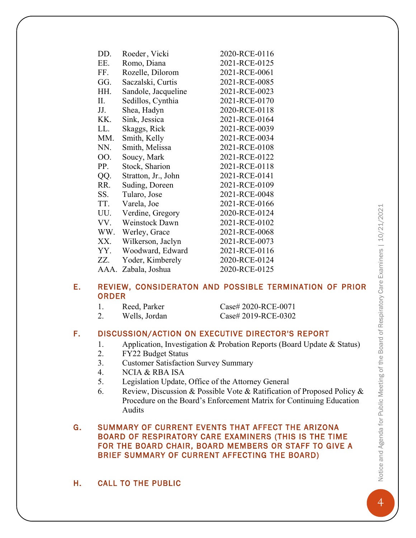|    | EE.          | Romo, Diana           | 2021-RCE-0125                                          |
|----|--------------|-----------------------|--------------------------------------------------------|
|    | FF.          | Rozelle, Dilorom      | 2021-RCE-0061                                          |
|    | GG.          | Saczalski, Curtis     | 2021-RCE-0085                                          |
|    | HH.          | Sandole, Jacqueline   | 2021-RCE-0023                                          |
|    | II.          | Sedillos, Cynthia     | 2021-RCE-0170                                          |
|    | JJ.          | Shea, Hadyn           | 2020-RCE-0118                                          |
|    | KK.          | Sink, Jessica         | 2021-RCE-0164                                          |
|    | LL.          | Skaggs, Rick          | 2021-RCE-0039                                          |
|    | MM.          | Smith, Kelly          | 2021-RCE-0034                                          |
|    | NN.          | Smith, Melissa        | 2021-RCE-0108                                          |
|    | OO.          | Soucy, Mark           | 2021-RCE-0122                                          |
|    | PP.          | Stock, Sharion        | 2021-RCE-0118                                          |
|    | QQ.          | Stratton, Jr., John   | 2021-RCE-0141                                          |
|    | RR.          | Suding, Doreen        | 2021-RCE-0109                                          |
|    | SS.          | Tularo, Jose          | 2021-RCE-0048                                          |
|    | TT.          | Varela, Joe           | 2021-RCE-0166                                          |
|    | UU.          | Verdine, Gregory      | 2020-RCE-0124                                          |
|    | VV.          | <b>Weinstock Dawn</b> | 2021-RCE-0102                                          |
|    | WW.          | Werley, Grace         | 2021-RCE-0068                                          |
|    |              | XX. Wilkerson, Jaclyn | 2021-RCE-0073                                          |
|    |              | YY. Woodward, Edward  | 2021-RCE-0116                                          |
|    | ZZ.          | Yoder, Kimberely      | 2020-RCE-0124                                          |
|    |              | AAA. Zabala, Joshua   | 2020-RCE-0125                                          |
| Ε. | <b>ORDER</b> |                       | REVIEW, CONSIDERATON AND POSSIBLE TERMINATION OF PRIOR |
|    | 1.           | Reed, Parker          | Case# 2020-RCE-0071                                    |
|    | 2.           | Wells, Jordan         | Case# 2019-RCE-0302                                    |
|    |              |                       |                                                        |

#### F. DISCUSSION/ACTION ON EXECUTIVE DIRECTOR'S REPORT

- 1. Application, Investigation & Probation Reports (Board Update & Status)
- 2. FY22 Budget Status
- 3. Customer Satisfaction Survey Summary

DD. Roeder, Vicki 2020-RCE-0116

- 4. NCIA & RBA ISA
- 5. Legislation Update, Office of the Attorney General
- 6. Review, Discussion & Possible Vote & Ratification of Proposed Policy & Procedure on the Board's Enforcement Matrix for Continuing Education Audits

#### G. SUMMARY OF CURRENT EVENTS THAT AFFECT THE ARIZONA BOARD OF RESPIRATORY CARE EXAMINERS (THIS IS THE TIME FOR THE BOARD CHAIR, BOARD MEMBERS OR STAFF TO GIVE A BRIEF SUMMARY OF CURRENT AFFECTING THE BOARD)

## H. CALL TO THE PUBLIC

**4Notice and Agenda for Public Meeting of the Board of Respiratory Care Examiners | 10/21/2021** Notice and Agenda for Public Meeting of the Board of Respiratory Care Examiners | 10/21/2021